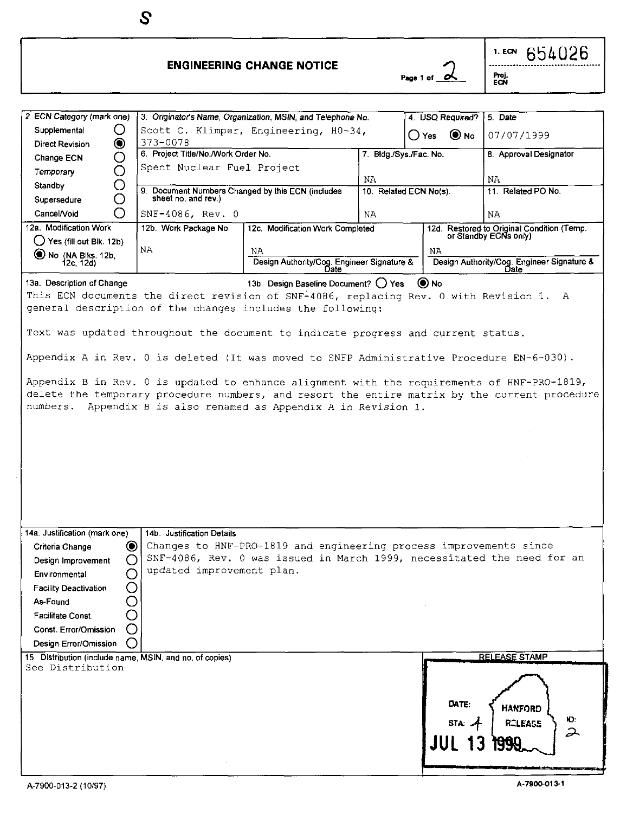$\mathcal{S}$ 

# **2 ENGINEERING CHANGE NOTICE**

1. ECN 654026 **ECN** 

| 2. ECN Category (mark one)<br>Supplemental<br>Ő                              |                                                                          | 3. Originator's Name, Organization, MSIN, and Telephone No.<br>Scott C. Klimper, Engineering, H0-34, |                        | 4. USQ Required?             | 5. Date                                                                                       |
|------------------------------------------------------------------------------|--------------------------------------------------------------------------|------------------------------------------------------------------------------------------------------|------------------------|------------------------------|-----------------------------------------------------------------------------------------------|
| ◉<br><b>Direct Revision</b>                                                  | 373-0078                                                                 |                                                                                                      |                        | $\odot$ No<br>$\bigcirc$ Yes | 07/07/1999                                                                                    |
| О<br>Change ECN                                                              | 6. Project Title/No./Work Order No.                                      |                                                                                                      | 7. Bldg./Sys./Fac. No. |                              | 8 Approval Designator                                                                         |
| O<br>Temporary                                                               | Spent Nuclear Fuel Project                                               |                                                                                                      |                        |                              |                                                                                               |
| O<br>Standby                                                                 |                                                                          |                                                                                                      | NA.                    |                              | NA                                                                                            |
| O<br>Supersedure                                                             | 9. Document Numbers Changed by this ECN (includes<br>sheet no. and rev.) |                                                                                                      | 10. Related ECN No(s). |                              | 11. Related PO No.                                                                            |
| Ω<br>Cancel/Void                                                             | SNF-4086, Rev. 0                                                         |                                                                                                      | NA                     |                              | ΝA                                                                                            |
| 12a. Modification Work                                                       | 12b. Work Package No.                                                    | 12c. Modification Work Completed                                                                     |                        |                              | 12d. Restored to Original Condition (Temp.<br>or Standby ECNs only)                           |
| Ves (fill out Blk. 12b)                                                      |                                                                          |                                                                                                      |                        |                              |                                                                                               |
| No (NA Biks. 12b, 12c, 12d)                                                  | NA                                                                       | NA.<br>Design Authority/Cog. Engineer Signature &                                                    |                        | NA                           | Design Authority/Cog. Engineer Signature &                                                    |
| 13a. Description of Change                                                   |                                                                          | Date<br>13b. Design Baseline Document? () Yes                                                        |                        | $\odot$ No                   | Date                                                                                          |
|                                                                              |                                                                          | This ECN documents the direct revision of SNF-4086, replacing Rev. 0 with Revision 1. A              |                        |                              |                                                                                               |
|                                                                              |                                                                          | general description of the changes includes the following:                                           |                        |                              |                                                                                               |
|                                                                              |                                                                          |                                                                                                      |                        |                              |                                                                                               |
|                                                                              |                                                                          | Text was updated throughout the document to indicate progress and current status.                    |                        |                              |                                                                                               |
|                                                                              |                                                                          | Appendix A in Rev. 0 is deleted (It was moved to SNFP Administrative Procedure EN-6-030).            |                        |                              |                                                                                               |
|                                                                              |                                                                          |                                                                                                      |                        |                              |                                                                                               |
|                                                                              |                                                                          | Appendix B in Rev. 0 is updated to enhance alignment with the requirements of HNF-PRO-1819,          |                        |                              | delete the temporary procedure numbers, and resort the entire matrix by the current procedure |
|                                                                              |                                                                          | numbers. Appendix B is also renamed as Appendix A in Revision 1.                                     |                        |                              |                                                                                               |
|                                                                              |                                                                          |                                                                                                      |                        |                              |                                                                                               |
|                                                                              |                                                                          |                                                                                                      |                        |                              |                                                                                               |
|                                                                              |                                                                          |                                                                                                      |                        |                              |                                                                                               |
|                                                                              |                                                                          |                                                                                                      |                        |                              |                                                                                               |
|                                                                              |                                                                          |                                                                                                      |                        |                              |                                                                                               |
|                                                                              |                                                                          |                                                                                                      |                        |                              |                                                                                               |
|                                                                              |                                                                          |                                                                                                      |                        |                              |                                                                                               |
|                                                                              |                                                                          |                                                                                                      |                        |                              |                                                                                               |
| 14a. Justification (mark one)                                                | 14b. Justification Details                                               |                                                                                                      |                        |                              |                                                                                               |
| Criteria Change<br>$\bullet$                                                 |                                                                          | Changes to HNF-PRO-1819 and engineering process improvements since                                   |                        |                              |                                                                                               |
| O<br>Design Improvement                                                      | updated improvement plan.                                                | SNF-4086, Rev. 0 was issued in March 1999, necessitated the need for an                              |                        |                              |                                                                                               |
| Environmental                                                                |                                                                          |                                                                                                      |                        |                              |                                                                                               |
| <b>Facility Deactivation</b>                                                 |                                                                          |                                                                                                      |                        |                              |                                                                                               |
| As-Found                                                                     |                                                                          |                                                                                                      |                        |                              |                                                                                               |
| <b>Facilitate Const.</b>                                                     |                                                                          |                                                                                                      |                        |                              |                                                                                               |
| Const. Error/Omission                                                        |                                                                          |                                                                                                      |                        |                              |                                                                                               |
| Design Error/Omission                                                        |                                                                          |                                                                                                      |                        |                              |                                                                                               |
| 15. Distribution (include name, MSIN, and no. of copies)<br>See Distribution |                                                                          |                                                                                                      |                        |                              | <b>RELEASE STAMP</b>                                                                          |
|                                                                              |                                                                          |                                                                                                      |                        |                              |                                                                                               |
|                                                                              |                                                                          |                                                                                                      |                        |                              |                                                                                               |
|                                                                              |                                                                          |                                                                                                      |                        | DATE:                        | <b>HANFORD</b>                                                                                |
|                                                                              |                                                                          |                                                                                                      |                        | $STA.$ $A$                   | Ю.<br>ROLEASS                                                                                 |
|                                                                              |                                                                          |                                                                                                      |                        |                              |                                                                                               |
|                                                                              |                                                                          |                                                                                                      |                        |                              | $\mathcal{P}$                                                                                 |
|                                                                              |                                                                          |                                                                                                      |                        | JUL                          | 1999                                                                                          |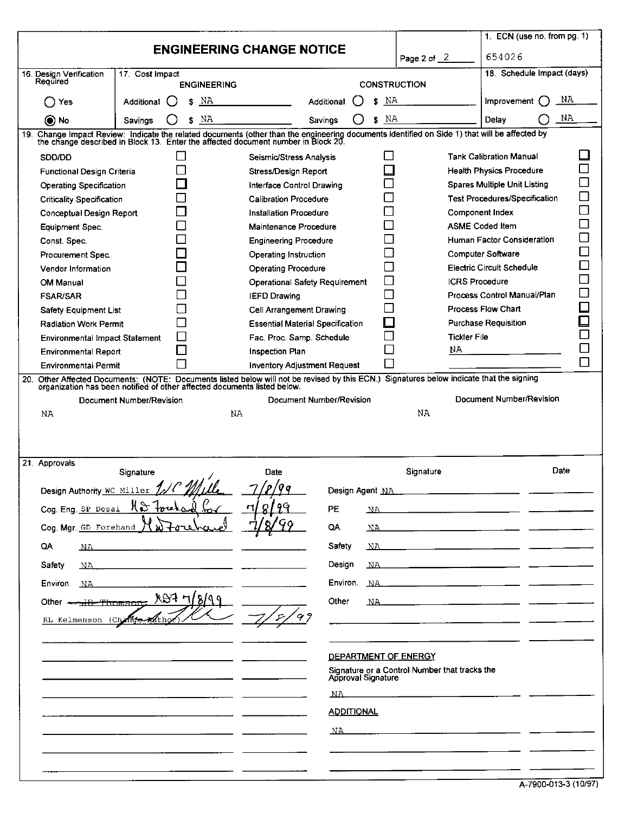|                                       |                                       |                                                                                                                                                                                                                                |                                                            | 1. ECN (use no. from pg. 1)                    |
|---------------------------------------|---------------------------------------|--------------------------------------------------------------------------------------------------------------------------------------------------------------------------------------------------------------------------------|------------------------------------------------------------|------------------------------------------------|
|                                       |                                       | <b>ENGINEERING CHANGE NOTICE</b>                                                                                                                                                                                               |                                                            |                                                |
|                                       |                                       |                                                                                                                                                                                                                                | Page 2 of $\sqrt{2}$                                       | 654026                                         |
| 16. Design Verification<br>Required   | 17. Cost Impact<br><b>ENGINEERING</b> |                                                                                                                                                                                                                                | <b>CONSTRUCTION</b>                                        | 18. Schedule Impact (days)                     |
| Yes                                   | NA.<br>Additional<br>S                | S<br>Additional                                                                                                                                                                                                                | ΝA                                                         | NA<br>Improvement                              |
| $\odot$ No                            | -NA<br>Savings                        | \$<br>Savings                                                                                                                                                                                                                  | ΝA                                                         | NA.<br>Delay                                   |
|                                       |                                       | 19. Change Impact Review: Indicate the related documents (other than the engineering documents identified on Side 1) that will be affected by the change described in Block 13. Enter the affected document number in Block 20 |                                                            |                                                |
|                                       |                                       |                                                                                                                                                                                                                                |                                                            |                                                |
| SDD/DD                                |                                       | Seismic/Stress Analysis                                                                                                                                                                                                        |                                                            | Tank Calibration Manual                        |
| <b>Functional Design Criteria</b>     |                                       | Stress/Design Report                                                                                                                                                                                                           |                                                            | <b>Health Physics Procedure</b>                |
| <b>Operating Specification</b>        |                                       | Interface Control Drawing                                                                                                                                                                                                      |                                                            | <b>Spares Multiple Unit Listing</b>            |
| <b>Criticality Specification</b>      |                                       | <b>Calibration Procedure</b>                                                                                                                                                                                                   |                                                            | Test Procedures/Specification<br>┐             |
| Conceptual Design Report              |                                       | <b>Installation Procedure</b><br>Maintenance Procedure                                                                                                                                                                         |                                                            | Component Index<br>┐<br><b>ASME Coded Item</b> |
| Equipment Spec.<br>Const. Spec.       |                                       | <b>Engineering Procedure</b>                                                                                                                                                                                                   |                                                            | ┚<br>Human Factor Consideration                |
| Procurement Spec.                     |                                       | Operating Instruction                                                                                                                                                                                                          |                                                            | <b>Computer Software</b>                       |
| Vendor Information                    | $\Box$                                | <b>Operating Procedure</b>                                                                                                                                                                                                     |                                                            | Electric Circuit Schedule                      |
| <b>OM Manual</b>                      |                                       | <b>Operational Safety Requirement</b>                                                                                                                                                                                          | <b>ICRS Procedure</b>                                      | ┓                                              |
| <b>FSAR/SAR</b>                       |                                       | <b>IEFD Drawing</b>                                                                                                                                                                                                            |                                                            | Process Control Manual/Plan                    |
| Safety Equipment List                 |                                       | Cell Arrangement Drawing                                                                                                                                                                                                       |                                                            | <b>Process Flow Chart</b>                      |
| <b>Radiation Work Permit</b>          |                                       | <b>Essential Material Specification</b>                                                                                                                                                                                        |                                                            | <b>Purchase Requisition</b>                    |
| <b>Environmental Impact Statement</b> |                                       | Fac. Proc. Samp. Schedule                                                                                                                                                                                                      | <b>Tickler File</b>                                        |                                                |
| <b>Environmental Report</b>           |                                       | <b>Inspection Plan</b>                                                                                                                                                                                                         | ΝA                                                         |                                                |
| Environmental Permit                  |                                       | <b>Inventory Adjustment Request</b>                                                                                                                                                                                            |                                                            | $\Box$                                         |
| ΝA                                    |                                       | <b>NA</b>                                                                                                                                                                                                                      | NA                                                         |                                                |
| 21. Approvals                         |                                       | Date                                                                                                                                                                                                                           | Signature                                                  | Date                                           |
|                                       | Signature                             | $7$ / $\mathsf{P}/\mathsf{P}$                                                                                                                                                                                                  |                                                            |                                                |
|                                       | Design Authority WC Miller 1/ C Mille | Design Agent NA                                                                                                                                                                                                                |                                                            |                                                |
| Cog Eng SP Desai                      | H <u>&amp; Torchard</u><br>₩.         | PE<br>NA.                                                                                                                                                                                                                      |                                                            |                                                |
| Cog. Mgr. GD Forehand                 | ນ\~⊢໕                                 | QA<br>NA.                                                                                                                                                                                                                      |                                                            |                                                |
| QA<br>NA.                             |                                       | Safety<br>NA.                                                                                                                                                                                                                  |                                                            |                                                |
| Safety<br>NA.                         |                                       | Design<br>NA.                                                                                                                                                                                                                  |                                                            |                                                |
| Environ. NA                           |                                       | Environ.<br>NA.                                                                                                                                                                                                                | <u> 1980 - Jan James Barnett, fransk politik (d. 1980)</u> |                                                |
|                                       | $897 - 1899$                          |                                                                                                                                                                                                                                |                                                            |                                                |
| Other <del>- JD Thomson</del>         |                                       | Other<br>NA.                                                                                                                                                                                                                   |                                                            |                                                |
| RL Kelmenson (Chander                 | ≉⊿tho                                 |                                                                                                                                                                                                                                |                                                            |                                                |
|                                       |                                       |                                                                                                                                                                                                                                |                                                            |                                                |
|                                       |                                       | DEPARTMENT OF ENERGY                                                                                                                                                                                                           |                                                            |                                                |
|                                       |                                       |                                                                                                                                                                                                                                | Signature or a Control Number that tracks the              |                                                |
|                                       |                                       | Approval Signature                                                                                                                                                                                                             |                                                            |                                                |
|                                       |                                       | NA.                                                                                                                                                                                                                            |                                                            |                                                |
|                                       |                                       | <b>ADDITIONAL</b>                                                                                                                                                                                                              |                                                            |                                                |
|                                       |                                       |                                                                                                                                                                                                                                |                                                            |                                                |
|                                       |                                       | NA.                                                                                                                                                                                                                            |                                                            |                                                |
|                                       |                                       |                                                                                                                                                                                                                                |                                                            |                                                |
|                                       |                                       |                                                                                                                                                                                                                                |                                                            |                                                |

A-7900-013-3 (10/97)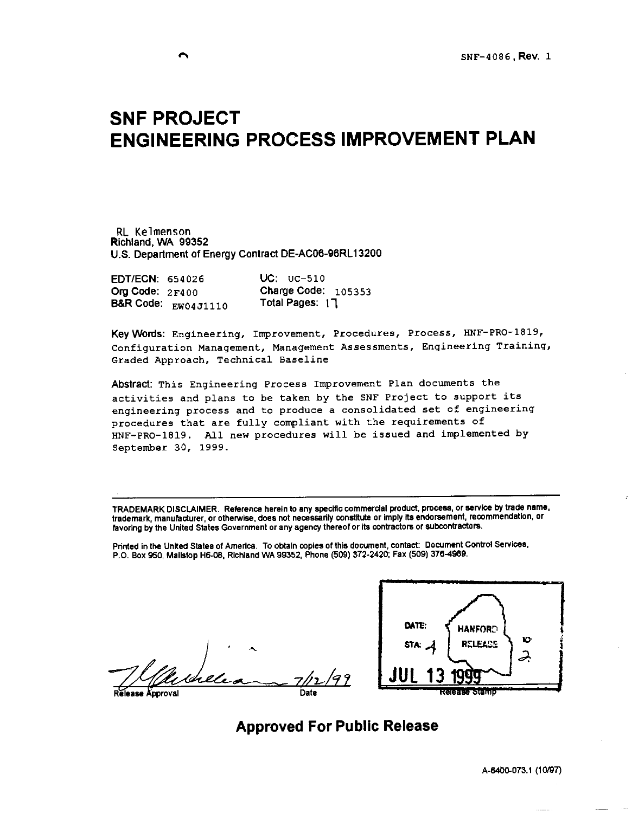# <span id="page-2-0"></span>**SNF PROJECT ENGINEERING PROCESS IMPROVEMENT PLAN**

RL Kelmenson Richland, WA 99352 US. Department of Energy Contract DE-ACO6-96RL13200

| Org Code: $2F400$   | Charge Code: $105353$ |
|---------------------|-----------------------|
| B&R Code: Ew04J1110 | Total Pages: 17       |

Key Words: Engineering, Improvement, Procedures, Process, HNF-PRO-1819, Configuration Management, Management Assessments, Engineering Training, Graded Approach, Technical Baseline

Abstract: This Engineering Process Improvement Plan documents the activities and plans to be taken by the SNF Project to support its engineering process and to produce a consolidated set of engineering procedures that are fully compliant with the requirements of HNF-PRO-1819. All new procedures will be issued and implemented by September 30, 1999.

TRADEMARK DISCLAIMER. Reference herein to any specific commercial product, process, or service by trade name, trademark, manufacturer, or otherwise, does not necessarily constitute or imply its endorsement, recommendation, or favoring by the United States Government or any agency thereof or its contractors or subcontractom.

Printed in the United States of America. To obtain wpies **of** this document. contact: Document Control Services. P.O. **Box 950,** Mailstop H6-08, Richland WA **99352,** Phone **(509) 372-2420;** Fax **(509) 376-4989.** 

Date



# **Approved For Public Release**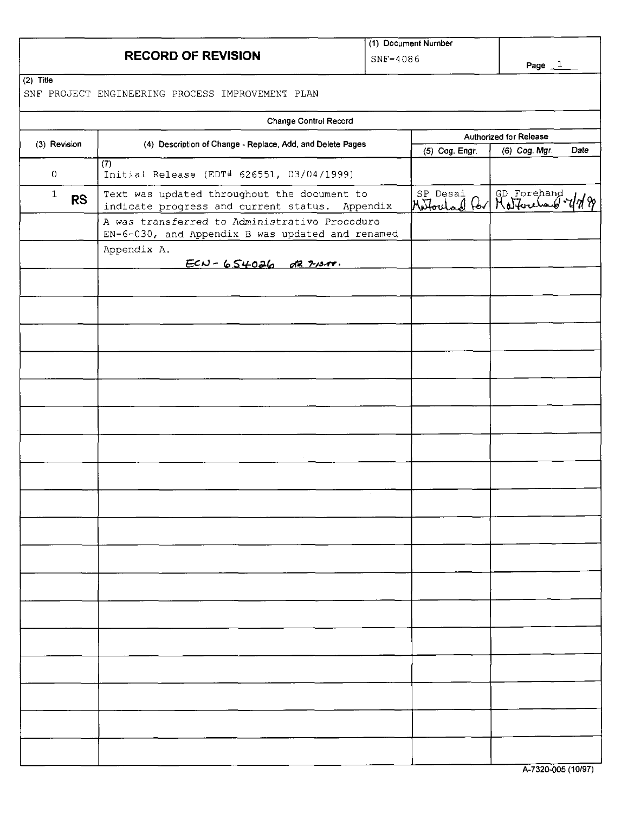| <b>RECORD OF REVISION</b> |
|---------------------------|
|---------------------------|

**(1) Document Number**  SNF-408 6

**(2) Title** 

SNF PROJECT ENGINEERING PROCESS IMPROVEMENT PLAN

|                           |                                                                                                   |                      | Authorized for Release |      |
|---------------------------|---------------------------------------------------------------------------------------------------|----------------------|------------------------|------|
| (3) Revision              | (4) Description of Change - Replace, Add, and Delete Pages                                        | (5) Cog. Engr.       | (6) Cog. Mgr.          | Date |
| 0                         | (7)<br>Initial Release (EDT# 626551, 03/04/1999)                                                  |                      |                        |      |
| $\mathbf{1}$<br><b>RS</b> | Text was updated throughout the document to<br>indicate progress and current status. Appendix     | SP Desai Co Roterand |                        |      |
|                           | A was transferred to Administrative Procedure<br>EN-6-030, and Appendix B was updated and renamed |                      |                        |      |
|                           | Appendix A.                                                                                       |                      |                        |      |
|                           | $ECN - 654026$ de 7-1318.                                                                         |                      |                        |      |
|                           |                                                                                                   |                      |                        |      |
|                           |                                                                                                   |                      |                        |      |
|                           |                                                                                                   |                      |                        |      |
|                           |                                                                                                   |                      |                        |      |
|                           |                                                                                                   |                      |                        |      |
|                           |                                                                                                   |                      |                        |      |
|                           |                                                                                                   |                      |                        |      |
|                           |                                                                                                   |                      |                        |      |
|                           |                                                                                                   |                      |                        |      |
|                           |                                                                                                   |                      |                        |      |
|                           |                                                                                                   |                      |                        |      |
|                           |                                                                                                   |                      |                        |      |
|                           |                                                                                                   |                      |                        |      |
|                           |                                                                                                   |                      |                        |      |
|                           |                                                                                                   |                      |                        |      |
|                           |                                                                                                   |                      |                        |      |
|                           |                                                                                                   |                      |                        |      |
|                           |                                                                                                   |                      |                        |      |
|                           |                                                                                                   |                      |                        |      |
|                           |                                                                                                   |                      |                        |      |
|                           |                                                                                                   |                      |                        |      |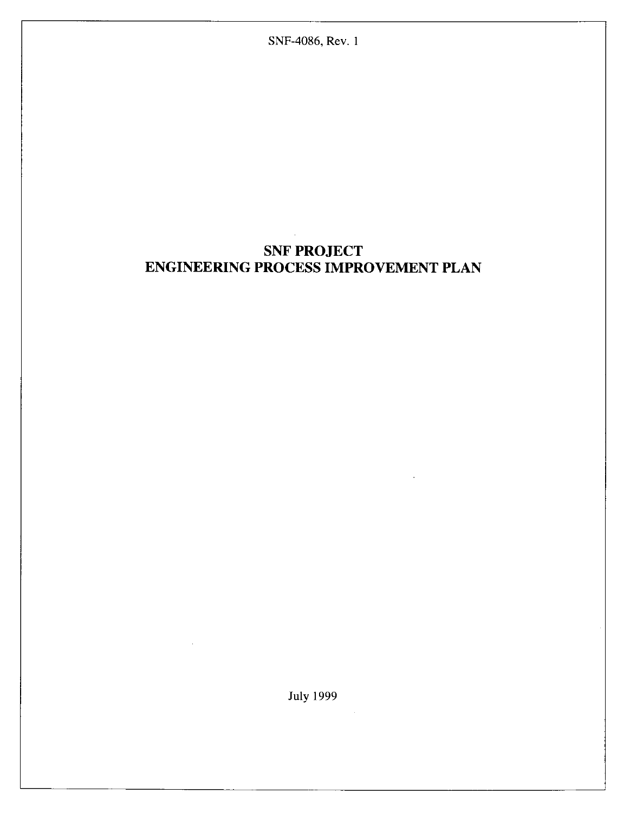SNF-4086, **[Rev.](#page-2-0)** <sup>1</sup>

# **SNF PROJECT ENGINEERING PROCESS IMPROVEMENT PLAN**

July 1999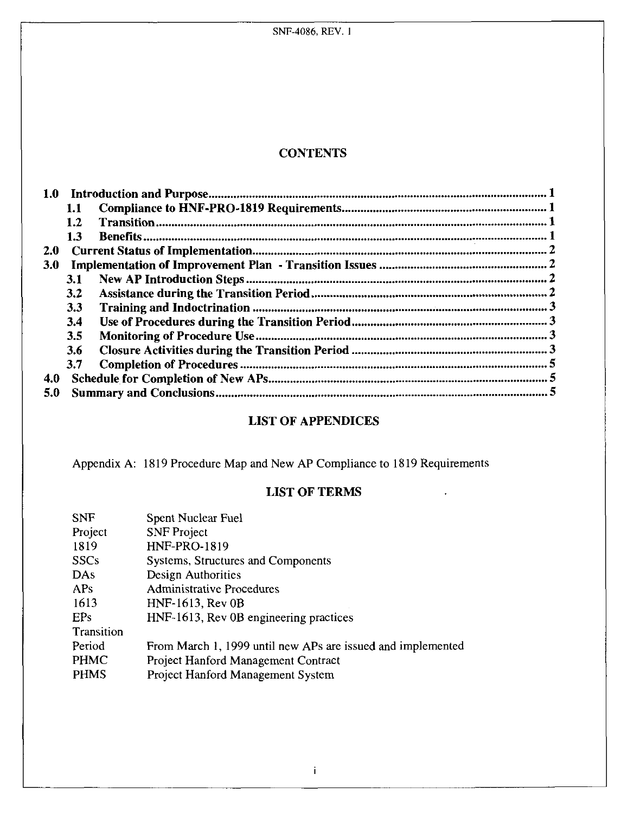# **CONTENTS**

| 1.0        |            |  |
|------------|------------|--|
|            | 1.1        |  |
|            | 1.2        |  |
|            | 1.3        |  |
| <b>2.0</b> |            |  |
| <b>3.0</b> |            |  |
|            | <b>3.1</b> |  |
|            | 3.2        |  |
|            | 3.3        |  |
|            | 3.4        |  |
|            | 3.5        |  |
|            | 3.6        |  |
|            | 3.7        |  |
| 4.0        |            |  |
| 5.0        |            |  |

# LIST OF APPENDICES

Appendix A: 1819 Procedure Map and New AP Compliance to 1819 Requirements

# LIST OF TERMS

 $\frac{1}{\sqrt{2}}$ 

| Spent Nuclear Fuel                                          |
|-------------------------------------------------------------|
| <b>SNF Project</b>                                          |
| <b>HNF-PRO-1819</b>                                         |
| Systems, Structures and Components                          |
| Design Authorities                                          |
| <b>Administrative Procedures</b>                            |
| HNF-1613, Rev 0B                                            |
| HNF-1613, Rev 0B engineering practices                      |
|                                                             |
| From March 1, 1999 until new APs are issued and implemented |
| Project Hanford Management Contract                         |
| <b>Project Hanford Management System</b>                    |
|                                                             |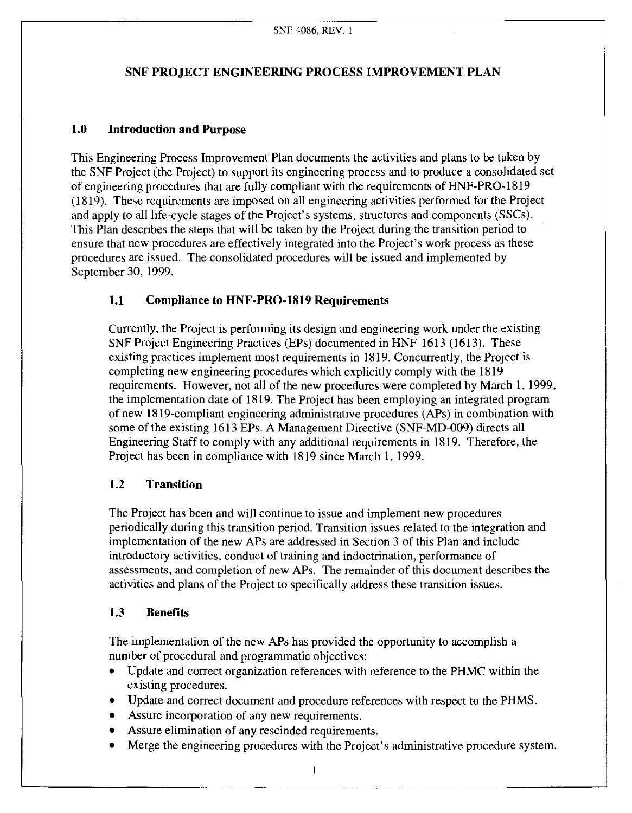### **SNF PROJECT ENGINEERING PROCESS IMPROVEMENT PLAN**

#### **1.0 Introduction and Purpose**

This Engineering Process Improvement Plan documents the activities and plans to be taken by the SNF Project (the Project) to support its engineering process and to produce a consolidated set of engineering procedures that are fully compliant with the requirements of HNF-PRO- 18 19 (1 8 19). These requirements are imposed on all engineering activities performed for the Project and apply to all life-cycle stages of the Project's systems, structures and components (SSCs). This Plan describes the **steps** that will be taken by the Project during the transition period to ensure that new procedures are effectively integrated into the Project's work process as these procedures are issued. The consolidated procedures will be issued and implemented by September 30, 1999.

### **1.1 Compliance to HNF-PRO-1819 Requirements**

Currently, the Project is performing its design and engineering work under the existing SNF Project Engineering Practices (EPs) documented in HNF-1613 (1613). These existing practices implement most requirements in 18 19. Concurrently, the Project is completing new engineering procedures which explicitly comply with the 18 19 requirements. However, not all of the new procedures were completed by March 1, 1999, the implementation date of 1819. The Project has been employing an integrated program of new 18 19-compliant engineering administrative procedures (APs) in combination with some of the existing 1613 EPs. A Management Directive (SNF-MD-009) directs all Engineering Staff to comply with any additional requirements in 1819. Therefore, the Project has been in compliance with 1819 since March 1, 1999.

### **1.2 Transition**

The Project has been and will continue to issue and implement new procedures periodically during this transition period. Transition issues related to the integration and implementation of the new APs are addressed in Section **3** of this Plan and include introductory activities, conduct of training and indoctrination, performance of assessments, and completion of new APs. The remainder of this document describes the activities and plans of the Project to specifically address these transition issues.

### **1.3 Benefits**

The implementation of the new APs has provided the opportunity to accomplish a number of procedural and programmatic objectives:

- Update and correct organization references with reference to the PHMC within the  $\bullet$ existing procedures.
- Update and correct document and procedure references with respect to the PHMS.
- Assure incorporation of any new requirements.
- Assure elimination of any rescinded requirements.
- Merge the engineering procedures with the Project's administrative procedure system.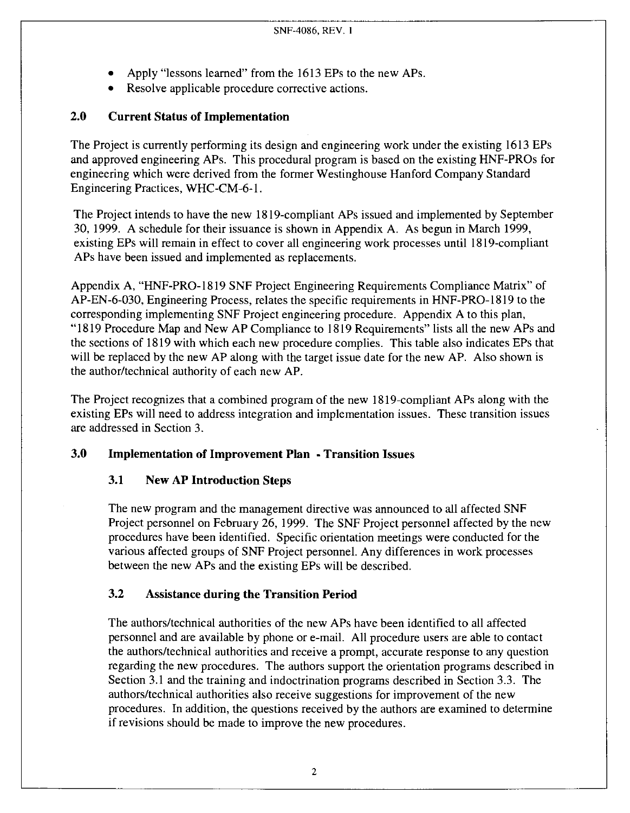- <span id="page-7-0"></span>Apply "lessons learned" from the 1613 EPs to the new APs.
- Resolve applicable procedure corrective actions.

## **2.0 Current Status of Implementation**

The Project is currently performing its design and engineering work under the existing 1613 EPs and approved engineering APs. This procedural program is based on the existing HNF-PROS for engineering which were derived from the former Westinghouse Hanford Company Standard Engineering Practices, WHC-CM-6-1.

The Project intends to have the new 1819-compliant APs issued and implemented by September 30, 1999. A schedule for their issuance is shown in Appendix A. As begun in March 1999, existing EPs will remain in effect to cover all engineering work processes until 18 19-compliant APs have been issued and implemented as replacements.

Appendix A, "HNF-PRO- 18 19 SNF Project Engineering Requirements Compliance Matrix" of AP-EN-6-030, Engineering Process, relates the specific requirements in HNF-PRO-18 19 to the corresponding implementing SNF Project engineering procedure. Appendix A to this plan, "1819 Procedure Map and New AP Compliance to 1819 Requirements" lists all the new APs and the sections of 1819 with which each new procedure complies. This table also indicates EPs that will be replaced by the new AP along with the target issue date for the new AP. Also shown is the author/technical authority of each new AP.

The Project recognizes that a combined program of the new 1819-compliant APs along with the existing EPs will need to address integration and implementation issues. These transition issues are addressed in Section 3.

### **3.0 Implementation of Improvement Plan** - **Transition Issues**

# **3.1 New AP Introduction Steps**

The new program and the management directive was announced to all affected SNF Project personnel on February 26, 1999. The SNF Project personnel affected by the new procedures have been identified. Specific orientation meetings were conducted for the various affected groups of SNF Project personnel. Any differences in work processes between the new APs and the existing EPs will be described.

#### **3.2 Assistance during the Transition Period**

The authors/technical authorities of the new APs have been identified to all affected personnel and are available by phone or e-mail. All procedure users are able to contact the authors/technical authorities and receive a prompt, accurate response to any question regarding the new procedures. The authors support the orientation programs described in Section 3.1 and the training and indoctrination programs described in Section 3.3. The authors/technical authorities also receive suggestions for improvement of the new procedures. In addition, the questions received by the authors are examined to determine if revisions should be made to improve the new procedures.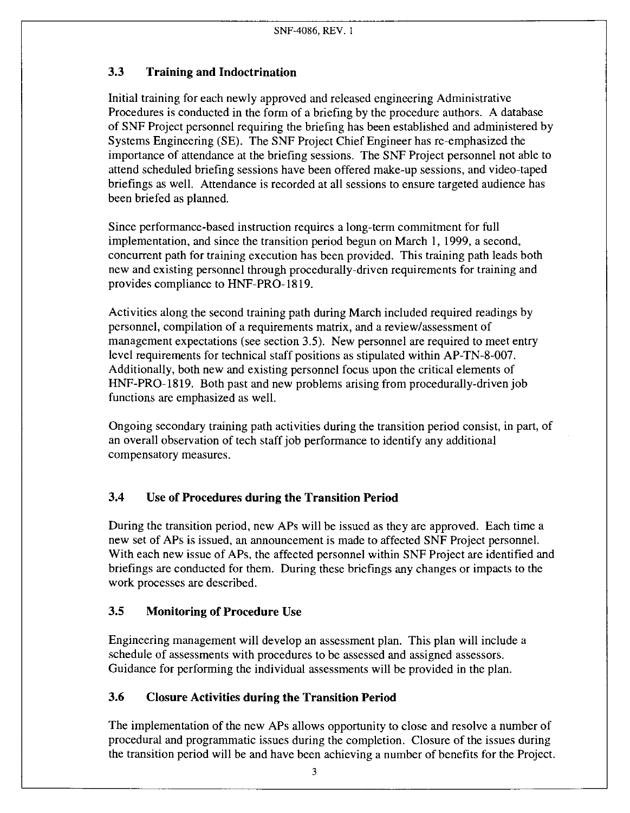# <span id="page-8-0"></span>**3.3 Training and Indoctrination**

Initial training for each newly approved and released engineering Administrative Procedures is conducted in the form of a briefing by the procedure authors. A database of SNF Project personnel requiring the briefing has been established and administered by Systems Engineering (SE). The SNF Project Chief Engineer has re-emphasized the importance of attendance at the briefing sessions. The SNF Project personnel not able to attend scheduled briefing sessions have been offered make-up sessions, and video-taped briefings as well. Attendance is recorded at all sessions to ensure targeted audience has been briefed as planned.

Since performance-based instruction requires a long-term commitment for full implementation, and since the transition period begun on March 1, 1999, a second, concurrent path for training execution has been provided. This training path leads both new and existing personnel through procedurally-driven requirements for training and provides compliance to HNF-PRO-1819.

Activities along the second training path during March included required readings by personnel, compilation of a requirements matrix, and a review/assessment of management expectations (see section 3.5). New personnel are required to meet entry level requirements for technical staff positions as stipulated within AP-TN-8-007. Additionally, both new and existing personnel focus upon the critical elements of HNF-PRO-1819. Both past and new problems arising from procedurally-driven job functions are emphasized as well.

Ongoing secondary training path activities during the transition period consist, in part, of an overall observation of tech staff job performance to identify any additional compensatory measures.

#### **3.4 Use of Procedures during the Transition Period**

During the transition period, new APs will be issued as they are approved. Each time a new set of APs is issued, an announcement is made to affected SNF Project personnel. With each new issue of APs, the affected personnel within SNF Project are identified and briefings are conducted for them. During these briefings any changes or impacts to the work processes are described.

# **3.5 Monitoring of Procedure Use**

Engineering management will develop an assessment plan. This plan will include a schedule of assessments with procedures to be assessed and assigned assessors. Guidance for performing the individual assessments will be provided in the plan.

#### **3.6 Closure Activities during the Transition Period**

The implementation of the new APs allows opportunity to close and resolve a number of procedural and programmatic issues during the completion. Closure of the issues during the transition period will be and have been achieving a number of benefits for the Project.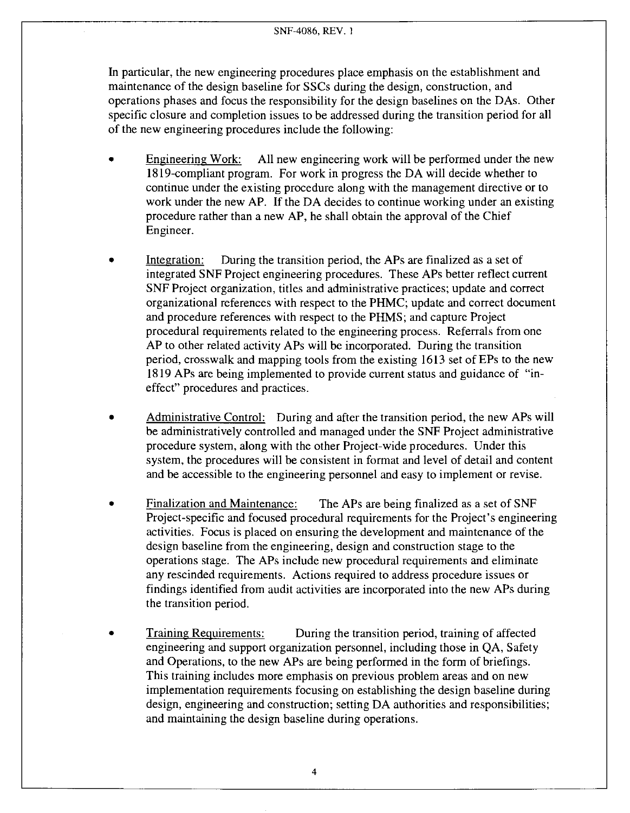#### SNF-4086, REV. **<sup>1</sup>**

In particular, the new engineering procedures place emphasis on the establishment and maintenance of the design baseline for SSCs during the design, construction, and operations phases and focus the responsibility for the design baselines on the DAs. Other specific closure and completion issues to be addressed during the transition period for all of the new engineering procedures include the following:

- Engineering Work: 1819-compliant program. For work in progress the DA will decide whether to continue under the existing procedure along with the management directive or to work under the new AP. If the DA decides to continue working under an existing procedure rather than a new AP, he shall obtain the approval of the Chief Engineer. All new engineering work will be performed under the new
- Integration: integrated SNF Project engineering procedures. These APs better reflect current SNF Project organization, titles and administrative practices; update and correct organizational references with respect to the PHMC; update and correct document and procedure references with respect to the PHMS; and capture Project procedural requirements related to the engineering process. Referrals from one AP to other related activity APs will be incorporated. During the transition period, crosswalk and mapping tools from the existing 1613 set of EPs to the new **1819** APs are being implemented to provide current status and guidance of "ineffect" procedures and practices. During the transition period, the APs are finalized as a set of
- Administrative Control: During and after the transition period, the new APs will be administratively controlled and managed under the SNF Project administrative procedure system, along with the other Project-wide procedures. Under this system, the procedures will be consistent in format and level of detail and content and be accessible to the engineering personnel and easy to implement or revise.
- Finalization and Maintenance: Project-specific and focused procedural requirements for the Project's engineering activities. Focus is placed on ensuring the development and maintenance of the design baseline from the engineering, design and construction stage to the operations stage. The APs include new procedural requirements and eliminate any rescinded requirements. Actions required to address procedure issues or findings identified from audit activities are incorporated into the new APs during the transition period. The APs are being finalized as a set of SNF
- Training Requirements: During the transition period, training of affected engineering and support organization personnel, including those in QA, Safety and Operations, to the new APs are being performed in the form of briefings. This training includes more emphasis on previous problem areas and on new implementation requirements focusing on establishing the design baseline during design, engineering and construction; setting DA authorities and responsibilities; and maintaining the design baseline during operations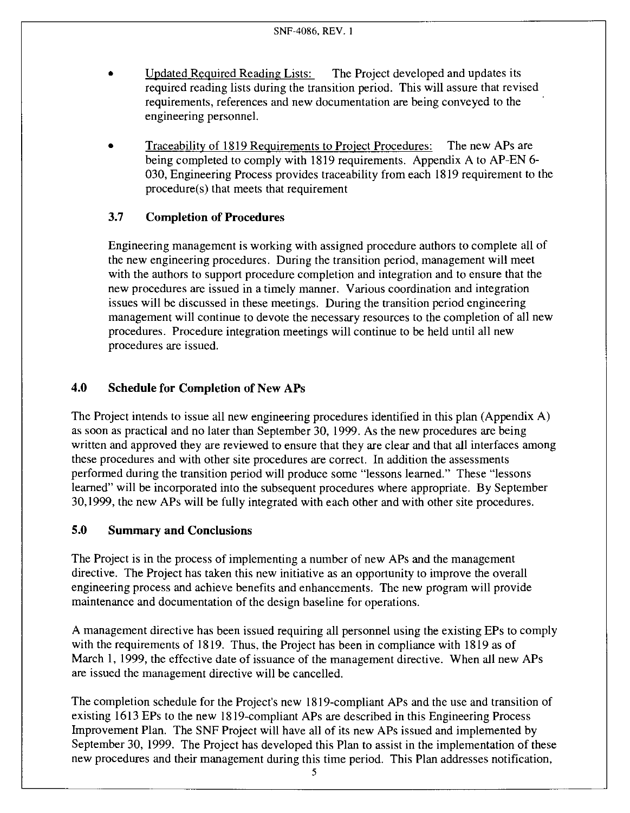- <span id="page-10-0"></span>Updated Required Reading Lists: The Project developed and updates its required reading lists during the transition period. This will assure that revised requirements, references and new documentation are being conveyed to the engineering personnel.
- Traceabilitv of 1819 Requirements to Project Procedures: being completed to comply with 1819 requirements. Appendix A to AP-EN 6- 030, Engineering Process provides traceability from each 1819 requirement to the procedure(s) that meets that requirement The new APs are

# **3.7 Completion of Procedures**

Engineering management is working with assigned procedure authors to complete all of the new engineering procedures. During the transition period, management will meet with the authors to support procedure completion and integration and to ensure that the new procedures are issued in a timely manner. Various coordination and integration issues will be discussed in these meetings. During the transition period engineering management will continue to devote the necessary resources to the completion of all new procedures. Procedure integration meetings will continue to be held until all new procedures are issued.

#### **4.0 Schedule for Completion of New APs**

The Project intends to issue all new engineering procedures identified in this plan (Appendix A) as soon as practical and no later than September 30, 1999. As the new procedures are being written and approved they are reviewed to ensure that they are clear and that all interfaces among these procedures and with other site procedures are correct. In addition the assessments performed during the transition period will produce some "lessons learned." These "lessons learned" will be incorporated into the subsequent procedures where appropriate. By September 30,1999, the new APs will be fully integrated with each other and with other site procedures.

# **5.0 Summary and Conclusions**

The Project is in the process of implementing a number of new APs and the management directive. The Project has taken this new initiative as an opportunity to improve the overall engineering process and achieve benefits and enhancements. The new program will provide maintenance and documentation of the design baseline for operations.

A management directive has been issued requiring all personnel using the existing EPs to comply with the requirements of 1819. Thus, the Project has been in compliance with 1819 as of March 1, 1999, the effective date of issuance of the management directive. When all new APs are issued the management directive will be cancelled.

The completion schedule for the Project's new 1819-compliant APs and the use and transition of existing 1613 EPs to the new 1819-compliant APs are described in this Engineering Process Improvement Plan. The SNF Project will have all of its new APs issued and implemented by September 30, 1999. The Project has developed this Plan to assist in the implementation of these new procedures and their management during this time period. This Plan addresses notification,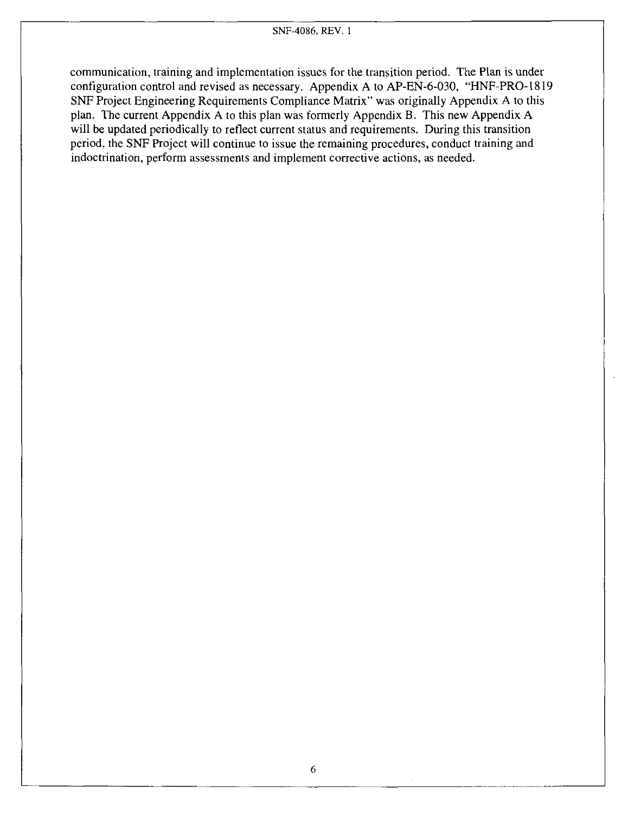communication, training and implementation issues for the transition period. The Plan is under configuration control and revised as necessary. Appendix **A** to AP-EN-6-030, "HNF-PRO- 18 19 SNF Project Engineering Requirements Compliance Matrix" was originally Appendix A to this plan. The current Appendix **A** to this plan was formerly Appendix B. This new Appendix A will be updated periodically to reflect current status and requirements. During this transition period, the SNF Project will continue to issue the remaining procedures, conduct training and indoctrination, perform assessments and implement corrective actions, as needed.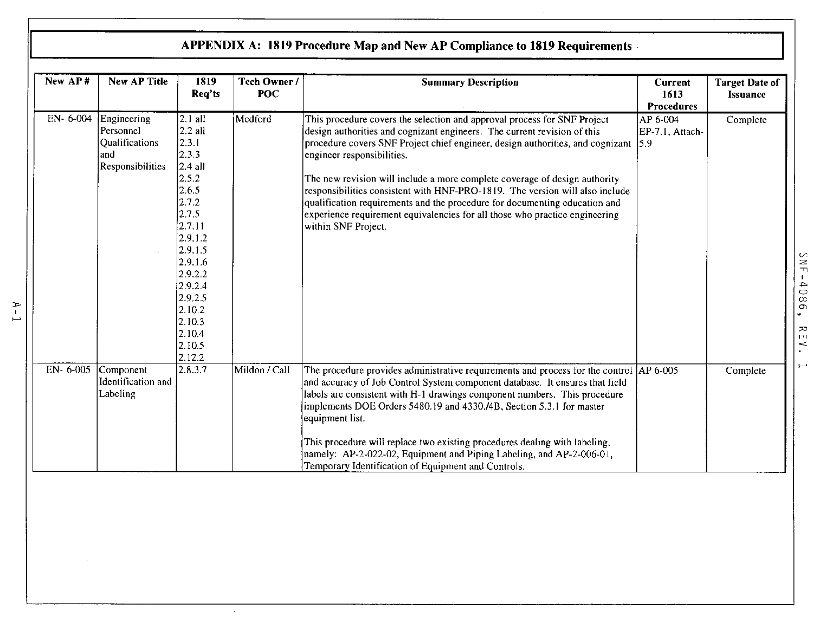| New AP#  | <b>New AP Title</b>                                                   | 1819<br>Req'ts                                                                                                                                                                                                             | Tech Owner /<br><b>POC</b> | <b>Summary Description</b>                                                                                                                                                                                                                                                                                                                                                                                                                                                                                                                                                                                             | Current<br>1613<br><b>Procedures</b> | <b>Target Date of</b><br><b>Issuance</b> |
|----------|-----------------------------------------------------------------------|----------------------------------------------------------------------------------------------------------------------------------------------------------------------------------------------------------------------------|----------------------------|------------------------------------------------------------------------------------------------------------------------------------------------------------------------------------------------------------------------------------------------------------------------------------------------------------------------------------------------------------------------------------------------------------------------------------------------------------------------------------------------------------------------------------------------------------------------------------------------------------------------|--------------------------------------|------------------------------------------|
| EN-6-004 | Engineering<br>Personnel<br>Qualifications<br>and<br>Responsibilities | $2.1$ all<br>$2.2$ all<br>2.3.1<br>2.3.3<br>$2.4$ all<br>2.5.2<br>2.6.5<br>2.7.2<br>2.7.5<br>2.7.11<br>2.9.1.2<br> 2.9.1.5<br>2.9.1.6<br>2.9.2.2<br>2.9.2.4<br>2.9.2.5<br>2.10.2<br> 2.10.3 <br>2.10.4<br>2.10.5<br>2.12.2 | Medford                    | This procedure covers the selection and approval process for SNF Project<br>design authorities and cognizant engineers. The current revision of this<br>procedure covers SNF Project chief engineer, design authorities, and cognizant<br>engineer responsibilities.<br>The new revision will include a more complete coverage of design authority<br>responsibilities consistent with HNF-PRO-1819. The version will also include<br>qualification requirements and the procedure for documenting education and<br>experience requirement equivalencies for all those who practice engineering<br>within SNF Project. | AP 6-004<br>EP-7.1, Attach-<br>5.9   | Complete                                 |
| EN-6-005 | Component<br>Identification and<br>Labeling                           | 2.8.3.7                                                                                                                                                                                                                    | Mildon / Call              | The procedure provides administrative requirements and process for the control  AP 6-005<br>and accuracy of Job Control System component database. It ensures that field<br>labels are consistent with H-1 drawings component numbers. This procedure<br>implements DOE Orders 5480.19 and 4330./4B, Section 5.3.1 for master<br>equipment list.<br>This procedure will replace two existing procedures dealing with labeling,<br>namely: AP-2-022-02, Equipment and Piping Labeling, and AP-2-006-01,<br>Temporary Identification of Equipment and Controls.                                                          |                                      | Complete                                 |

 $\sim 10$ 

 $\sim$ 

Lr *z*  l. I **P**  *0 03*  m *W*  m <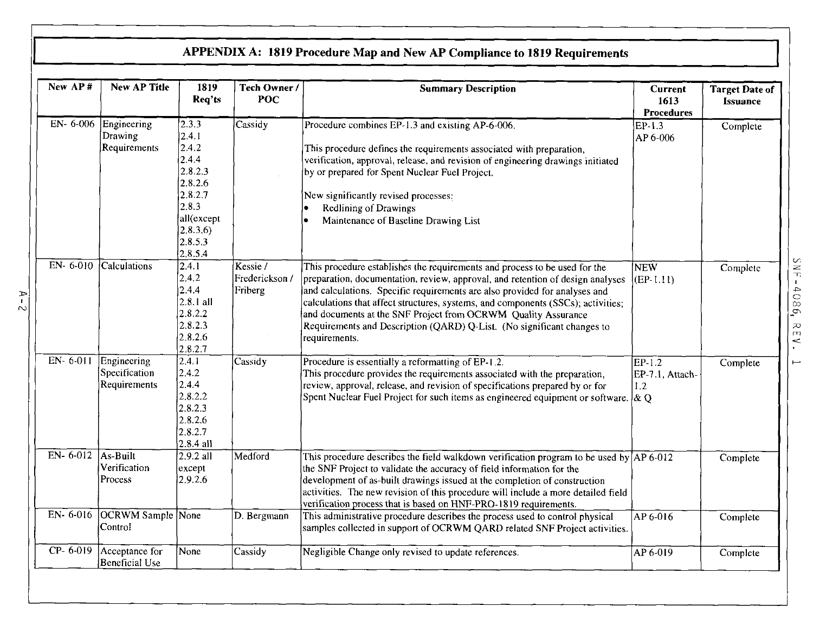| New AP#  | <b>New AP Title</b>                          | 1819<br>Req'ts                                                                                                              | Tech Owner /<br>POC                 | <b>Summary Description</b>                                                                                                                                                                                                                                                                                                                                                                                                                                                                 | Current<br>1613<br><b>Procedures</b> | <b>Target Date of</b><br><b>Issuance</b> |
|----------|----------------------------------------------|-----------------------------------------------------------------------------------------------------------------------------|-------------------------------------|--------------------------------------------------------------------------------------------------------------------------------------------------------------------------------------------------------------------------------------------------------------------------------------------------------------------------------------------------------------------------------------------------------------------------------------------------------------------------------------------|--------------------------------------|------------------------------------------|
| EN-6-006 | Engineering<br>Drawing<br>Requirements       | 2.3.3<br>2.4.1<br>2.4.2<br>2.4.4<br>2.8.2.3<br>2.8.2.6<br>2.8.2.7<br>2.8.3<br>all(except<br>(2.8.3.6)<br>2.8.5.3<br>2.8.5.4 | Cassidy                             | Procedure combines EP-1.3 and existing AP-6-006.<br>This procedure defines the requirements associated with preparation,<br>verification, approval, release, and revision of engineering drawings initiated<br>by or prepared for Spent Nuclear Fuel Project.<br>New significantly revised processes:<br><b>Redlining of Drawings</b><br>Maintenance of Baseline Drawing List                                                                                                              | EP-1.3<br>AP 6-006                   | Complete                                 |
| EN-6-010 | Calculations                                 | 2.4.1<br>2.4.2<br>2.4.4<br>$2.8.1$ all<br>2.8.2.2<br>2.8.2.3<br>2.8.2.6<br>2.8.2.7                                          | Kessie/<br>Frederickson/<br>Friberg | This procedure establishes the requirements and process to be used for the<br>preparation, documentation, review, approval, and retention of design analyses<br>and calculations. Specific requirements are also provided for analyses and<br>calculations that affect structures, systems, and components (SSCs); activities;<br>and documents at the SNF Project from OCRWM Quality Assurance<br>Requirements and Description (QARD) Q-List. (No significant changes to<br>requirements. | NEW<br>$(EP-1.11)$                   | Complete                                 |
| EN-6-011 | Engineering<br>Specification<br>Requirements | 2.4.1 <br>2.4.2<br>2.4.4<br>2.8.2.2<br>2.8.2.3<br>2.8.2.6<br>2.8.2.7<br>$2.8.4$ all                                         | Cassidy                             | Procedure is essentially a reformatting of EP-1.2.<br>This procedure provides the requirements associated with the preparation,<br>review, approval, release, and revision of specifications prepared by or for<br>Spent Nuclear Fuel Project for such items as engineered equipment or software. $\&$ Q                                                                                                                                                                                   | $EP-1.2$<br>EP-7.1, Attach-<br>1.2   | Complete                                 |
| EN-6-012 | As-Built<br>Verification<br>Process          | $2.9.2$ all<br>except<br>2.9.2.6                                                                                            | Medford                             | This procedure describes the field walkdown verification program to be used by AP 6-012<br>the SNF Project to validate the accuracy of field information for the<br>development of as-built drawings issued at the completion of construction<br>activities. The new revision of this procedure will include a more detailed field<br>verification process that is based on HNF-PRO-1819 requirements.                                                                                     |                                      | Complete                                 |
|          | EN- 6-016 OCRWM Sample None<br>Control       |                                                                                                                             | D. Bergmann                         | This administrative procedure describes the process used to control physical<br>samples collected in support of OCRWM QARD related SNF Project activities.                                                                                                                                                                                                                                                                                                                                 | AP 6-016                             | Complete                                 |
| CP-6-019 | Acceptance for<br><b>Beneficial Use</b>      | None                                                                                                                        | $\overline{\text{Cassidy}}$         | Negligible Change only revised to update references.                                                                                                                                                                                                                                                                                                                                                                                                                                       | AP 6-019                             | Complete                                 |

 $\frac{A-2}{2}$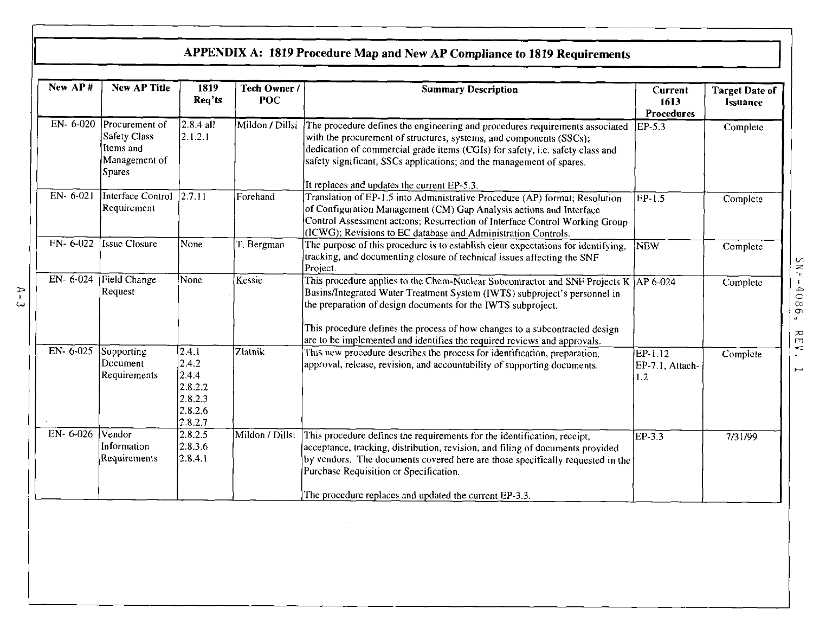| New AP#    | <b>New AP Title</b>                                                                  | 1819<br>Req'ts                                                      | Tech Owner /<br><b>POC</b> | <b>Summary Description</b>                                                                                                                                                                                                                                                                                                                                                                   | Current<br>1613<br><b>Procedures</b> | <b>Target Date of</b><br><b>Issuance</b> |
|------------|--------------------------------------------------------------------------------------|---------------------------------------------------------------------|----------------------------|----------------------------------------------------------------------------------------------------------------------------------------------------------------------------------------------------------------------------------------------------------------------------------------------------------------------------------------------------------------------------------------------|--------------------------------------|------------------------------------------|
| EN-6-020   | Procurement of<br><b>Safety Class</b><br>Items and<br>Management of<br><b>Spares</b> | 2.8.4 all<br>2.1.2.1                                                | Mildon / Dillsi            | The procedure defines the engineering and procedures requirements associated<br>with the procurement of structures, systems, and components (SSCs);<br>dedication of commercial grade items (CGIs) for safety, i.e. safety class and<br>safety significant, SSCs applications; and the management of spares.<br>It replaces and updates the current EP-5.3.                                  | EP-5.3                               | Complete                                 |
| EN-6-021   | Interface Control<br>Requirement                                                     | 2.7.11                                                              | Forehand                   | Translation of EP-1.5 into Administrative Procedure (AP) format; Resolution<br>of Configuration Management (CM) Gap Analysis actions and Interface<br>Control Assessment actions; Resurrection of Interface Control Working Group<br>(ICWG); Revisions to EC database and Administration Controls.                                                                                           | $EP-1.5$                             | Complete                                 |
| EN- 6-022  | Issue Closure                                                                        | None                                                                | T. Bergman                 | The purpose of this procedure is to establish clear expectations for identifying,<br>tracking, and documenting closure of technical issues affecting the SNF<br>Project.                                                                                                                                                                                                                     | <b>NEW</b>                           | Complete                                 |
| EN-6-024   | Field Change<br>Request                                                              | None                                                                | Kessie                     | This procedure applies to the Chem-Nuclear Subcontractor and SNF Projects K AP 6-024<br>Basins/Integrated Water Treatment System (IWTS) subproject's personnel in<br>the preparation of design documents for the IWTS subproject.<br>This procedure defines the process of how changes to a subcontracted design<br>are to be implemented and identifies the required reviews and approvals. |                                      | Complete                                 |
| $EN-6-025$ | Supporting<br>Document<br>Requirements                                               | 2.4.1<br>2.4.2<br>2.4.4<br>2.8.2.2<br>2.8.2.3<br>2.8.2.6<br>2.8.2.7 | Zlatnik                    | This new procedure describes the process for identification, preparation,<br>approval, release, revision, and accountability of supporting documents.                                                                                                                                                                                                                                        | $EP-1.12$<br>EP-7.1, Attach-<br>1.2  | Complete                                 |
| $EN-6-026$ | Vendor<br>Information<br>Requirements                                                | 2.8.2.5<br>2.8.3.6<br>2.8.4.1                                       | Mildon / Dillsi            | This procedure defines the requirements for the identification, receipt,<br>acceptance, tracking, distribution, revision, and filing of documents provided<br>by vendors. The documents covered here are those specifically requested in the<br>Purchase Requisition or Specification.                                                                                                       | $EP-3.3$                             | 7/31/99                                  |

*3*  I *CI* 

**B 0**  $b - 1$  **N S**  $R \to \infty$  $\frac{1}{2}$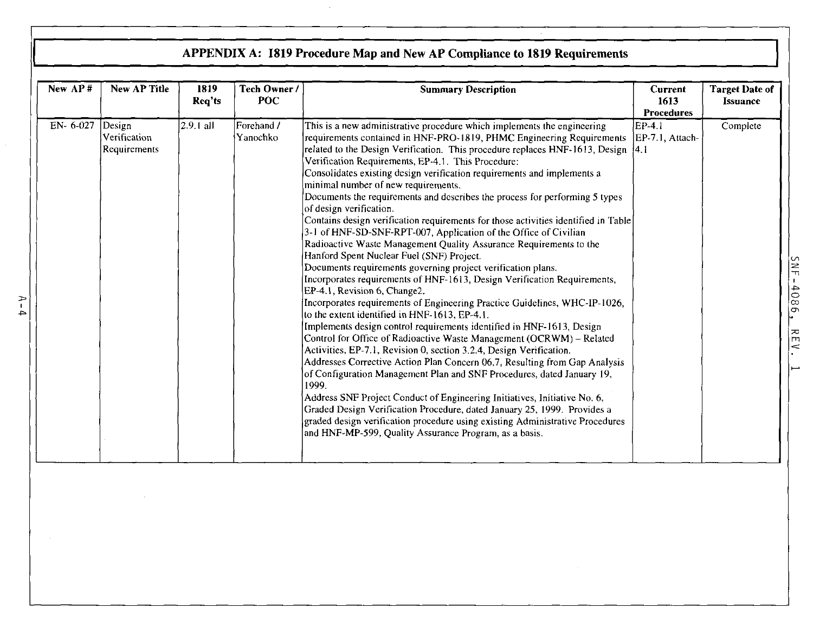|          |                                        |                |                        | APPENDIX A: 1819 Procedure Map and New AP Compliance to 1819 Requirements                                                                                                                                                                                                                                                                                                                                                                                                                                                                                                                                                                                                                                                                                                                                                                                                                                                                                                                                                                                                                                                                                                                                                                                                                                                                                                                                                                                                                                                                                                                                                                                                                                                                                                                               |                                               |                                   |
|----------|----------------------------------------|----------------|------------------------|---------------------------------------------------------------------------------------------------------------------------------------------------------------------------------------------------------------------------------------------------------------------------------------------------------------------------------------------------------------------------------------------------------------------------------------------------------------------------------------------------------------------------------------------------------------------------------------------------------------------------------------------------------------------------------------------------------------------------------------------------------------------------------------------------------------------------------------------------------------------------------------------------------------------------------------------------------------------------------------------------------------------------------------------------------------------------------------------------------------------------------------------------------------------------------------------------------------------------------------------------------------------------------------------------------------------------------------------------------------------------------------------------------------------------------------------------------------------------------------------------------------------------------------------------------------------------------------------------------------------------------------------------------------------------------------------------------------------------------------------------------------------------------------------------------|-----------------------------------------------|-----------------------------------|
| New AP#  | <b>New AP Title</b>                    | 1819<br>Req'ts | Tech Owner /<br>POC    | <b>Summary Description</b>                                                                                                                                                                                                                                                                                                                                                                                                                                                                                                                                                                                                                                                                                                                                                                                                                                                                                                                                                                                                                                                                                                                                                                                                                                                                                                                                                                                                                                                                                                                                                                                                                                                                                                                                                                              | <b>Current</b><br>1613<br><b>Procedures</b>   | <b>Target Date of</b><br>Issuance |
| EN-6-027 | Design<br>Verification<br>Requirements | 2.9.1 all      | Forehand /<br>Yanochko | This is a new administrative procedure which implements the engineering<br>requirements contained in HNF-PRO-1819, PHMC Engineering Requirements<br>related to the Design Verification. This procedure replaces HNF-1613, Design<br>Verification Requirements, EP-4.1. This Procedure:<br>Consolidates existing design verification requirements and implements a<br>minimal number of new requirements.<br>Documents the requirements and describes the process for performing 5 types<br>of design verification.<br>Contains design verification requirements for those activities identified in Table<br>3-1 of HNF-SD-SNF-RPT-007, Application of the Office of Civilian<br>Radioactive Waste Management Quality Assurance Requirements to the<br>Hanford Spent Nuclear Fuel (SNF) Project.<br>Documents requirements governing project verification plans.<br>Incorporates requirements of HNF-1613, Design Verification Requirements,<br>EP-4.1, Revision 6, Change2.<br>Incorporates requirements of Engineering Practice Guidelines, WHC-IP-1026,<br>to the extent identified in HNF-1613, EP-4.1.<br>Implements design control requirements identified in HNF-1613, Design<br>Control for Office of Radioactive Waste Management (OCRWM) - Related<br>Activities, EP-7.1, Revision 0, section 3.2.4, Design Verification.<br>Addresses Corrective Action Plan Concern 06.7, Resulting from Gap Analysis<br>of Configuration Management Plan and SNF Procedures, dated January 19,<br>1999.<br>Address SNF Project Conduct of Engineering Initiatives, Initiative No. 6,<br>Graded Design Verification Procedure, dated January 25, 1999. Provides a<br>graded design verification procedure using existing Administrative Procedures<br>and HNF-MP-599, Quality Assurance Program, as a basis. | EP-4.1<br>EP-7.1, Attach-<br><sup>1</sup> 4.1 | Complete                          |

 $\sim$ 

 $A - 4$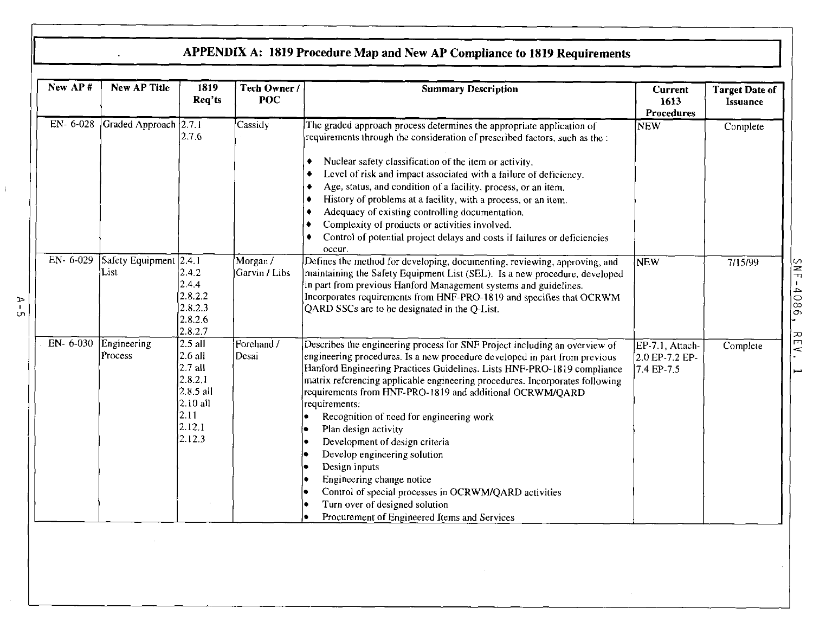|  | APPENDIX A: 1819 Procedure Map and New AP Compliance to 1819 Requirements |  |  |  |
|--|---------------------------------------------------------------------------|--|--|--|
|--|---------------------------------------------------------------------------|--|--|--|

 $\mathcal{L}_{\mathcal{A}}$ 

 $\sim$ 

 $\mathbf{E}$ 

 $\begin{array}{c} \nabla - \nabla \end{array}$ 

| New AP#    | <b>New AP Title</b>            | 1819<br>Req'ts                                                                                        | Tech Owner /<br><b>POC</b> | <b>Summary Description</b>                                                                                                                                                                                                                                                                                                                                                                                                                                                                                                                                                                                                                                                                                                      | Current<br>1613<br><b>Procedures</b>            | <b>Target Date of</b><br><b>Issuance</b> |
|------------|--------------------------------|-------------------------------------------------------------------------------------------------------|----------------------------|---------------------------------------------------------------------------------------------------------------------------------------------------------------------------------------------------------------------------------------------------------------------------------------------------------------------------------------------------------------------------------------------------------------------------------------------------------------------------------------------------------------------------------------------------------------------------------------------------------------------------------------------------------------------------------------------------------------------------------|-------------------------------------------------|------------------------------------------|
| EN-6-028   | Graded Approach 2.7.1          | 2.7.6                                                                                                 | Cassidy                    | The graded approach process determines the appropriate application of<br>requirements through the consideration of prescribed factors, such as the :<br>Nuclear safety classification of the item or activity.<br>٠<br>Level of risk and impact associated with a failure of deficiency.<br>Age, status, and condition of a facility, process, or an item.<br>History of problems at a facility, with a process, or an item.<br>٠<br>Adequacy of existing controlling documentation.<br>Complexity of products or activities involved.<br>Control of potential project delays and costs if failures or deficiencies<br>occur.                                                                                                   | <b>NEW</b>                                      | Complete                                 |
| EN-6-029   | Safety Equipment 2.4.1<br>List | 2.4.2<br>2.4.4<br>2.8.2.2<br>2.8.2.3<br>2.8.2.6<br>2.8.2.7                                            | Morgan/<br>Garvin / Libs   | Defines the method for developing, documenting, reviewing, approving, and<br>maintaining the Safety Equipment List (SEL). Is a new procedure, developed<br>in part from previous Hanford Management systems and guidelines.<br>Incorporates requirements from HNF-PRO-1819 and specifies that OCRWM<br>QARD SSCs are to be designated in the Q-List.                                                                                                                                                                                                                                                                                                                                                                            | <b>NEW</b>                                      | 7/15/99                                  |
| $EN-6-030$ | Engineering<br>Process         | $2.5$ all<br>$2.6$ all<br>$2.7$ all<br>2.8.2.1<br>2.8.5 all<br>$2.10$ all<br>2.11<br>2.12.1<br>2.12.3 | Forchand /<br>Desai        | Describes the engineering process for SNF Project including an overview of<br>engineering procedures. Is a new procedure developed in part from previous<br>Hanford Engineering Practices Guidelines. Lists HNF-PRO-1819 compliance<br>matrix referencing applicable engineering procedures. Incorporates following<br>requirements from HNF-PRO-1819 and additional OCRWM/QARD<br>requirements:<br>Recognition of need for engineering work<br>Plan design activity<br>Development of design criteria<br>Develop engineering solution<br>Design inputs<br>Engineering change notice<br>Control of special processes in OCRWM/QARD activities<br>Turn over of designed solution<br>Procurement of Engineered Items and Services | EP-7.1, Attach-<br>2.0 EP-7.2 EP-<br>7.4 EP-7.5 | Complete                                 |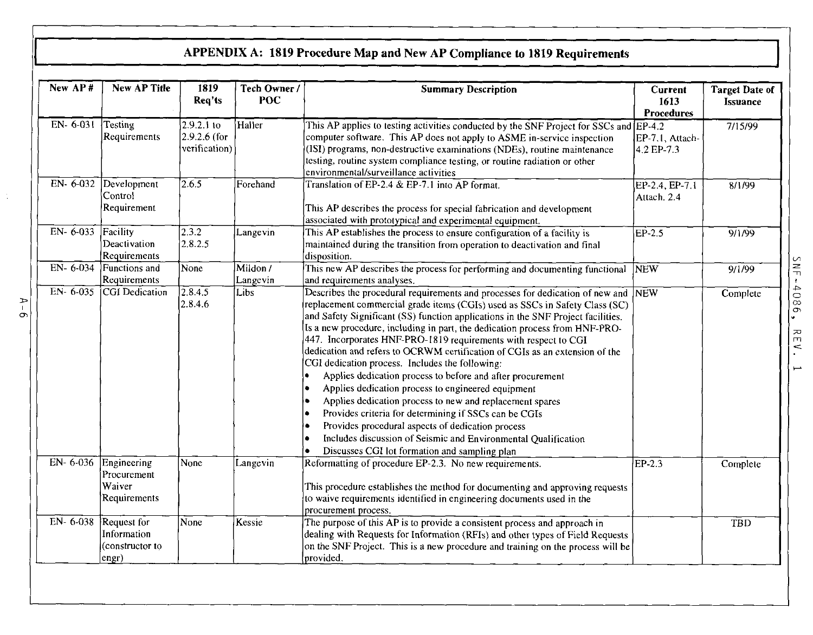| New AP#  | <b>New AP Title</b>                                    | 1819<br>Req'ts                                  | Tech Owner /<br>POC  | <b>Summary Description</b>                                                                                                                                                                                                                                                                                                                                                                                                                                                                                                                                                                                                                                                                                                                                                                                                                                                                                                                                                                     | <b>Current</b><br>1613<br><b>Procedures</b> | <b>Target Date of</b><br><b>Issuance</b> |
|----------|--------------------------------------------------------|-------------------------------------------------|----------------------|------------------------------------------------------------------------------------------------------------------------------------------------------------------------------------------------------------------------------------------------------------------------------------------------------------------------------------------------------------------------------------------------------------------------------------------------------------------------------------------------------------------------------------------------------------------------------------------------------------------------------------------------------------------------------------------------------------------------------------------------------------------------------------------------------------------------------------------------------------------------------------------------------------------------------------------------------------------------------------------------|---------------------------------------------|------------------------------------------|
| EN-6-031 | Testing<br>Requirements                                | $2.9.2.1$ to<br>$2.9.2.6$ (for<br>verification) | Haller               | This AP applies to testing activities conducted by the SNF Project for SSCs and<br>computer software. This AP does not apply to ASME in-service inspection<br>(ISI) programs, non-destructive examinations (NDEs), routine maintenance<br>testing, routine system compliance testing, or routine radiation or other<br>environmental/surveillance activities                                                                                                                                                                                                                                                                                                                                                                                                                                                                                                                                                                                                                                   | EP-4.2<br>EP-7.1, Attach-<br>$4.2 EP - 7.3$ | 7/15/99                                  |
|          | $EN-6-032$ Development<br>Control<br>Requirement       | 2.6.5                                           | Forehand             | Translation of EP-2.4 & EP-7.1 into AP format.<br>This AP describes the process for special fabrication and development<br>associated with prototypical and experimental equipment.                                                                                                                                                                                                                                                                                                                                                                                                                                                                                                                                                                                                                                                                                                                                                                                                            | EP-2.4, EP-7.1<br>Attach. 2.4               | 8/1/99                                   |
| EN-6-033 | Facility<br>Deactivation<br>Requirements               | 2.3.2<br>2.8.2.5                                | Langevin             | This AP establishes the process to ensure configuration of a facility is<br>maintained during the transition from operation to deactivation and final<br>disposition.                                                                                                                                                                                                                                                                                                                                                                                                                                                                                                                                                                                                                                                                                                                                                                                                                          | $EP-2.5$                                    | 9/1/99                                   |
| EN-6-034 | Functions and<br>Requirements                          | None                                            | Mildon /<br>Langevin | This new AP describes the process for performing and documenting functional<br>and requirements analyses.                                                                                                                                                                                                                                                                                                                                                                                                                                                                                                                                                                                                                                                                                                                                                                                                                                                                                      | NEW                                         | 9/1/99                                   |
| EN-6-035 | CGI Dedication                                         | 2.8.4.5<br>2.8.4.6                              | Libs                 | Describes the procedural requirements and processes for dedication of new and NEW<br>replacement commercial grade items (CGIs) used as SSCs in Safety Class (SC)<br>and Safety Significant (SS) function applications in the SNF Project facilities.<br>Is a new procedure, including in part, the dedication process from HNF-PRO-<br>447. Incorporates HNF-PRO-1819 requirements with respect to CGI<br>dedication and refers to OCRWM certification of CGIs as an extension of the<br>CGI dedication process. Includes the following:<br>Applies dedication process to before and after procurement<br>le.<br>Applies dedication process to engineered equipment<br>le<br>Applies dedication process to new and replacement spares<br>iе<br>Provides criteria for determining if SSCs can be CGIs<br>I۰<br>Provides procedural aspects of dedication process<br>۱e<br>Includes discussion of Seismic and Environmental Qualification<br>le<br>Discusses CGI lot formation and sampling plan |                                             | Complete                                 |
| EN-6-036 | Engineering<br>Procurement<br>Waiver<br>Requirements   | None                                            | Langevin             | Reformatting of procedure EP-2.3. No new requirements.<br>This procedure establishes the method for documenting and approving requests<br>to waive requirements identified in engineering documents used in the<br>procurement process.                                                                                                                                                                                                                                                                                                                                                                                                                                                                                                                                                                                                                                                                                                                                                        | EP-2.3                                      | Complete                                 |
| EN-6-038 | Request for<br>Information<br>(constructor to<br>engr) | None                                            | Kessie               | The purpose of this AP is to provide a consistent process and approach in<br>dealing with Requests for Information (RFIs) and other types of Field Requests<br>on the SNF Project. This is a new procedure and training on the process will be<br>provided.                                                                                                                                                                                                                                                                                                                                                                                                                                                                                                                                                                                                                                                                                                                                    |                                             | TBD                                      |

**3**  I **C** 

÷.

2 N F - 4 0 8 6 R E V